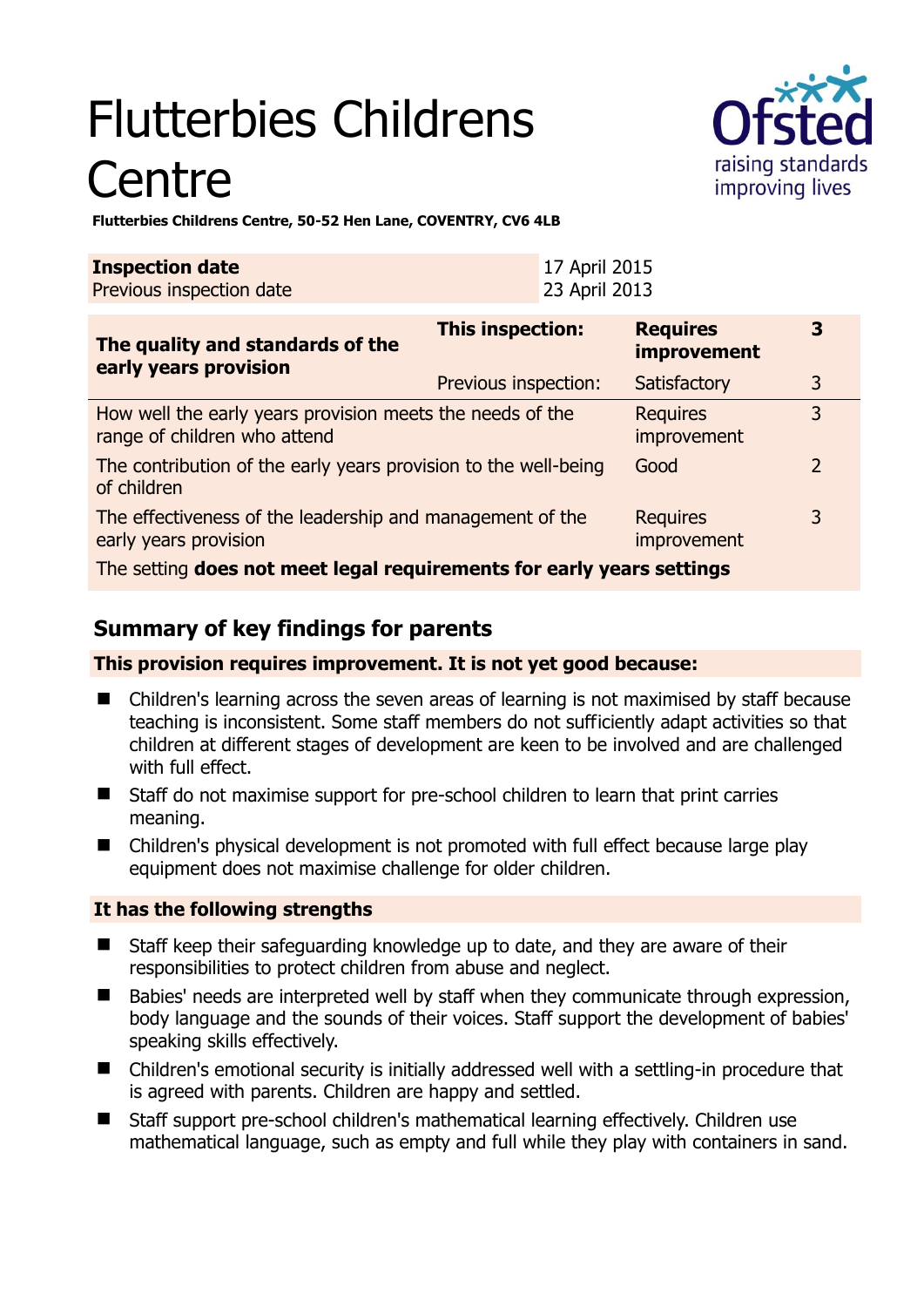# Flutterbies Childrens **Centre**



**Flutterbies Childrens Centre, 50-52 Hen Lane, COVENTRY, CV6 4LB** 

| <b>Inspection date</b>   | 17 April 2015 |
|--------------------------|---------------|
| Previous inspection date | 23 April 2013 |

| The quality and standards of the<br>early years provision                                 | <b>This inspection:</b> | <b>Requires</b><br>improvement | 3              |
|-------------------------------------------------------------------------------------------|-------------------------|--------------------------------|----------------|
|                                                                                           | Previous inspection:    | Satisfactory                   | 3              |
| How well the early years provision meets the needs of the<br>range of children who attend |                         | <b>Requires</b><br>improvement | 3              |
| The contribution of the early years provision to the well-being<br>of children            |                         | Good                           | $\overline{2}$ |
| The effectiveness of the leadership and management of the<br>early years provision        |                         | <b>Requires</b><br>improvement | 3              |
| The setting does not meet legal requirements for early years settings                     |                         |                                |                |

# **Summary of key findings for parents**

**This provision requires improvement. It is not yet good because:** 

- Children's learning across the seven areas of learning is not maximised by staff because teaching is inconsistent. Some staff members do not sufficiently adapt activities so that children at different stages of development are keen to be involved and are challenged with full effect.
- Staff do not maximise support for pre-school children to learn that print carries meaning.
- Children's physical development is not promoted with full effect because large play equipment does not maximise challenge for older children.

## **It has the following strengths**

- Staff keep their safeguarding knowledge up to date, and they are aware of their responsibilities to protect children from abuse and neglect.
- Babies' needs are interpreted well by staff when they communicate through expression, body language and the sounds of their voices. Staff support the development of babies' speaking skills effectively.
- Children's emotional security is initially addressed well with a settling-in procedure that is agreed with parents. Children are happy and settled.
- Staff support pre-school children's mathematical learning effectively. Children use mathematical language, such as empty and full while they play with containers in sand.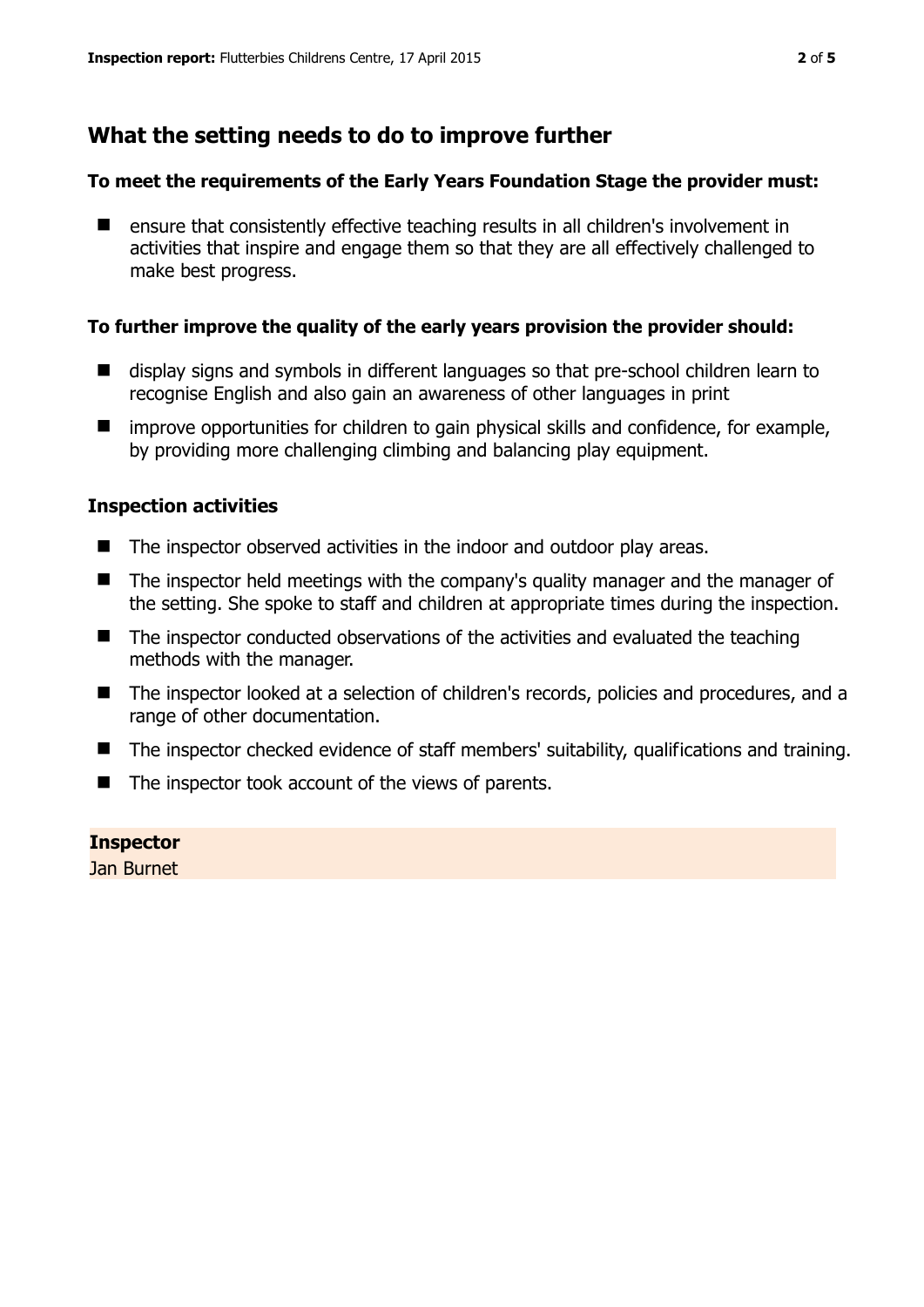## **What the setting needs to do to improve further**

#### **To meet the requirements of the Early Years Foundation Stage the provider must:**

■ ensure that consistently effective teaching results in all children's involvement in activities that inspire and engage them so that they are all effectively challenged to make best progress.

#### **To further improve the quality of the early years provision the provider should:**

- display signs and symbols in different languages so that pre-school children learn to recognise English and also gain an awareness of other languages in print
- $\blacksquare$  improve opportunities for children to gain physical skills and confidence, for example, by providing more challenging climbing and balancing play equipment.

#### **Inspection activities**

- The inspector observed activities in the indoor and outdoor play areas.
- The inspector held meetings with the company's quality manager and the manager of the setting. She spoke to staff and children at appropriate times during the inspection.
- The inspector conducted observations of the activities and evaluated the teaching methods with the manager.
- The inspector looked at a selection of children's records, policies and procedures, and a range of other documentation.
- The inspector checked evidence of staff members' suitability, qualifications and training.
- $\blacksquare$  The inspector took account of the views of parents.

**Inspector**  Jan Burnet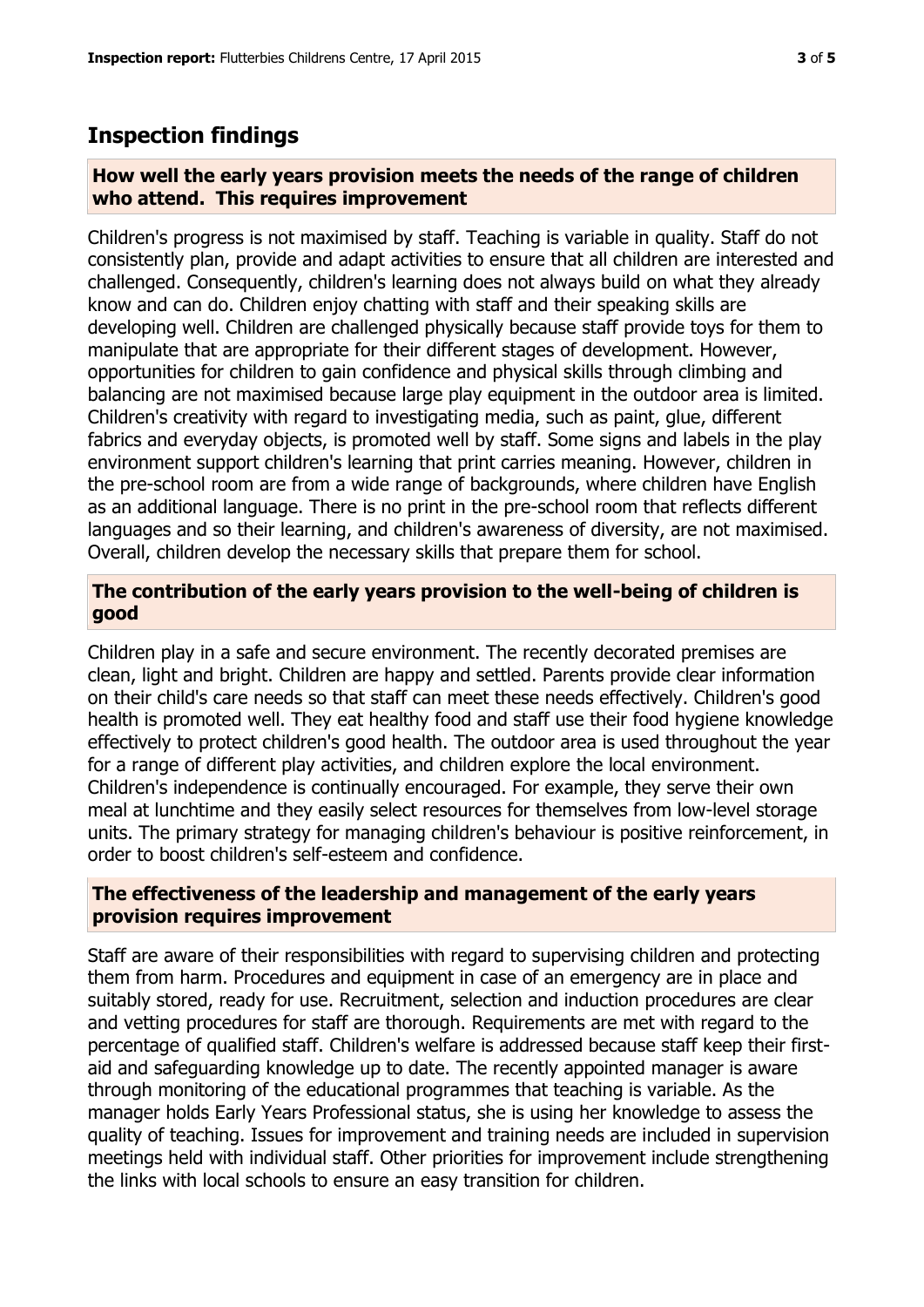# **Inspection findings**

### **How well the early years provision meets the needs of the range of children who attend. This requires improvement**

Children's progress is not maximised by staff. Teaching is variable in quality. Staff do not consistently plan, provide and adapt activities to ensure that all children are interested and challenged. Consequently, children's learning does not always build on what they already know and can do. Children enjoy chatting with staff and their speaking skills are developing well. Children are challenged physically because staff provide toys for them to manipulate that are appropriate for their different stages of development. However, opportunities for children to gain confidence and physical skills through climbing and balancing are not maximised because large play equipment in the outdoor area is limited. Children's creativity with regard to investigating media, such as paint, glue, different fabrics and everyday objects, is promoted well by staff. Some signs and labels in the play environment support children's learning that print carries meaning. However, children in the pre-school room are from a wide range of backgrounds, where children have English as an additional language. There is no print in the pre-school room that reflects different languages and so their learning, and children's awareness of diversity, are not maximised. Overall, children develop the necessary skills that prepare them for school.

## **The contribution of the early years provision to the well-being of children is good**

Children play in a safe and secure environment. The recently decorated premises are clean, light and bright. Children are happy and settled. Parents provide clear information on their child's care needs so that staff can meet these needs effectively. Children's good health is promoted well. They eat healthy food and staff use their food hygiene knowledge effectively to protect children's good health. The outdoor area is used throughout the year for a range of different play activities, and children explore the local environment. Children's independence is continually encouraged. For example, they serve their own meal at lunchtime and they easily select resources for themselves from low-level storage units. The primary strategy for managing children's behaviour is positive reinforcement, in order to boost children's self-esteem and confidence.

#### **The effectiveness of the leadership and management of the early years provision requires improvement**

Staff are aware of their responsibilities with regard to supervising children and protecting them from harm. Procedures and equipment in case of an emergency are in place and suitably stored, ready for use. Recruitment, selection and induction procedures are clear and vetting procedures for staff are thorough. Requirements are met with regard to the percentage of qualified staff. Children's welfare is addressed because staff keep their firstaid and safeguarding knowledge up to date. The recently appointed manager is aware through monitoring of the educational programmes that teaching is variable. As the manager holds Early Years Professional status, she is using her knowledge to assess the quality of teaching. Issues for improvement and training needs are included in supervision meetings held with individual staff. Other priorities for improvement include strengthening the links with local schools to ensure an easy transition for children.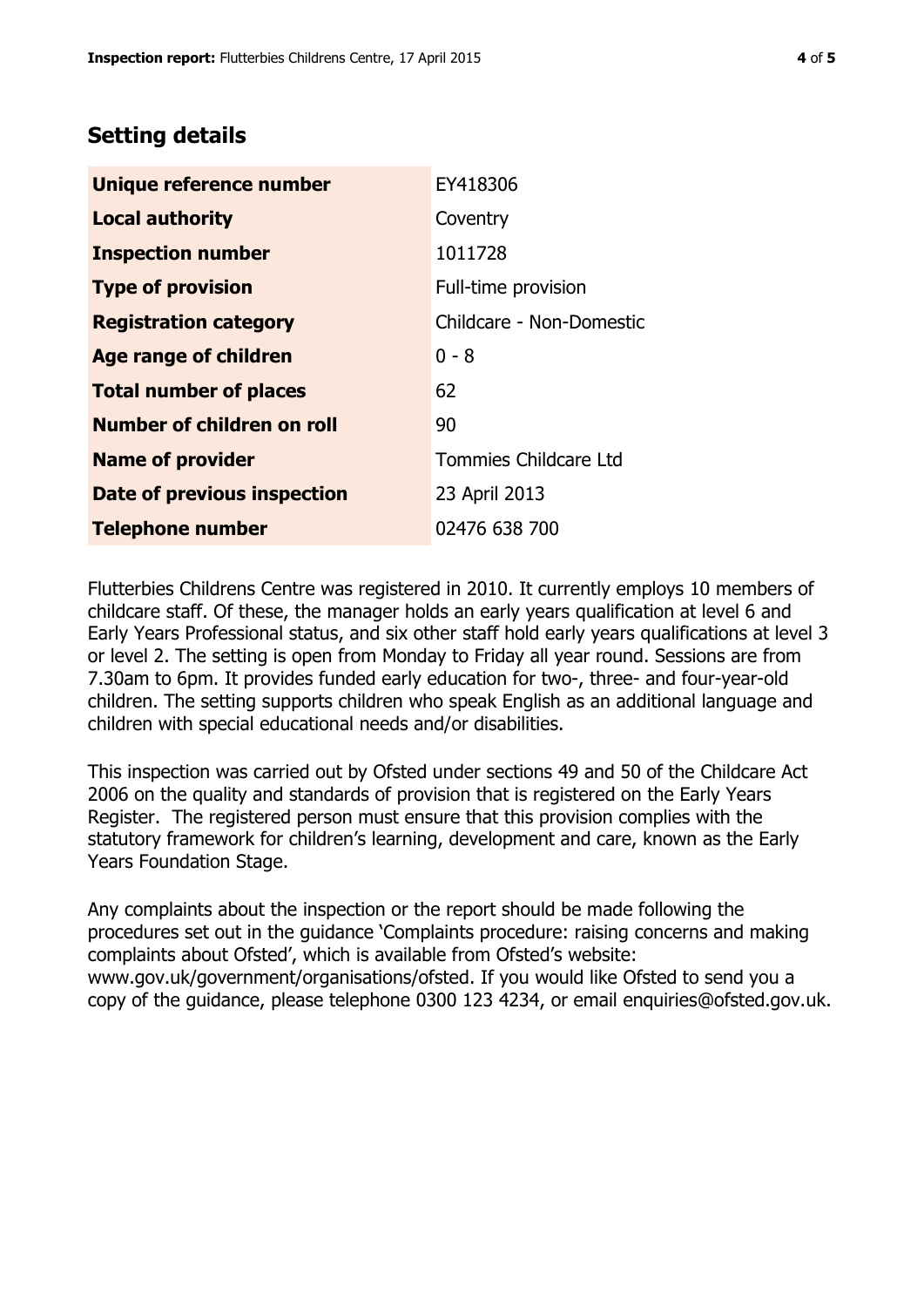## **Setting details**

| Unique reference number       | EY418306                 |
|-------------------------------|--------------------------|
| <b>Local authority</b>        | Coventry                 |
| <b>Inspection number</b>      | 1011728                  |
| <b>Type of provision</b>      | Full-time provision      |
| <b>Registration category</b>  | Childcare - Non-Domestic |
| Age range of children         | $0 - 8$                  |
| <b>Total number of places</b> | 62                       |
| Number of children on roll    | 90                       |
| <b>Name of provider</b>       | Tommies Childcare Ltd    |
| Date of previous inspection   | 23 April 2013            |
| <b>Telephone number</b>       | 02476 638 700            |

Flutterbies Childrens Centre was registered in 2010. It currently employs 10 members of childcare staff. Of these, the manager holds an early years qualification at level 6 and Early Years Professional status, and six other staff hold early years qualifications at level 3 or level 2. The setting is open from Monday to Friday all year round. Sessions are from 7.30am to 6pm. It provides funded early education for two-, three- and four-year-old children. The setting supports children who speak English as an additional language and children with special educational needs and/or disabilities.

This inspection was carried out by Ofsted under sections 49 and 50 of the Childcare Act 2006 on the quality and standards of provision that is registered on the Early Years Register. The registered person must ensure that this provision complies with the statutory framework for children's learning, development and care, known as the Early Years Foundation Stage.

Any complaints about the inspection or the report should be made following the procedures set out in the guidance 'Complaints procedure: raising concerns and making complaints about Ofsted', which is available from Ofsted's website: www.gov.uk/government/organisations/ofsted. If you would like Ofsted to send you a copy of the guidance, please telephone 0300 123 4234, or email enquiries@ofsted.gov.uk.